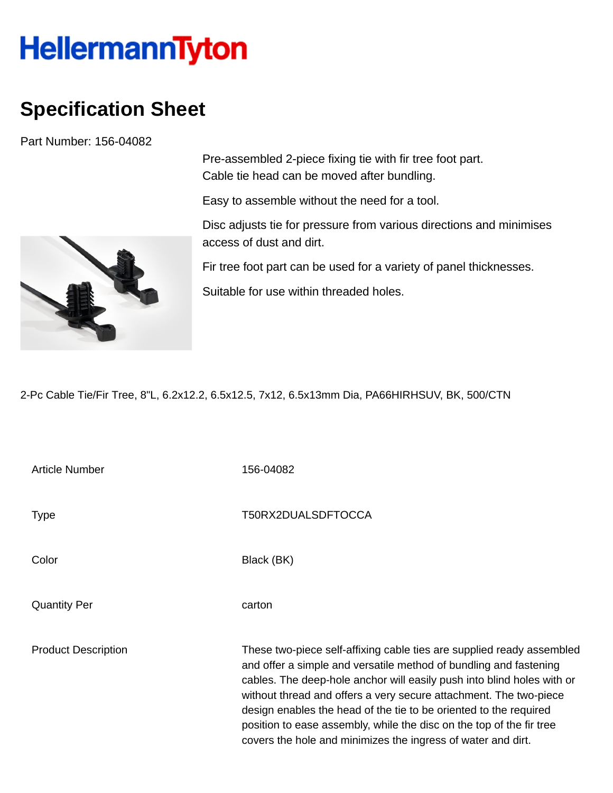## HellermannTyton

## **Specification Sheet**

Part Number: 156-04082



Pre-assembled 2-piece fixing tie with fir tree foot part. Cable tie head can be moved after bundling.

Easy to assemble without the need for a tool.

Disc adjusts tie for pressure from various directions and minimises access of dust and dirt.

Fir tree foot part can be used for a variety of panel thicknesses.

Suitable for use within threaded holes.

2-Pc Cable Tie/Fir Tree, 8"L, 6.2x12.2, 6.5x12.5, 7x12, 6.5x13mm Dia, PA66HIRHSUV, BK, 500/CTN

| <b>Article Number</b>      | 156-04082                                                                                                                                                                                                                                                                                                                                                                                                                                                                                              |
|----------------------------|--------------------------------------------------------------------------------------------------------------------------------------------------------------------------------------------------------------------------------------------------------------------------------------------------------------------------------------------------------------------------------------------------------------------------------------------------------------------------------------------------------|
| Type                       | T50RX2DUALSDFTOCCA                                                                                                                                                                                                                                                                                                                                                                                                                                                                                     |
| Color                      | Black (BK)                                                                                                                                                                                                                                                                                                                                                                                                                                                                                             |
| <b>Quantity Per</b>        | carton                                                                                                                                                                                                                                                                                                                                                                                                                                                                                                 |
| <b>Product Description</b> | These two-piece self-affixing cable ties are supplied ready assembled<br>and offer a simple and versatile method of bundling and fastening<br>cables. The deep-hole anchor will easily push into blind holes with or<br>without thread and offers a very secure attachment. The two-piece<br>design enables the head of the tie to be oriented to the required<br>position to ease assembly, while the disc on the top of the fir tree<br>covers the hole and minimizes the ingress of water and dirt. |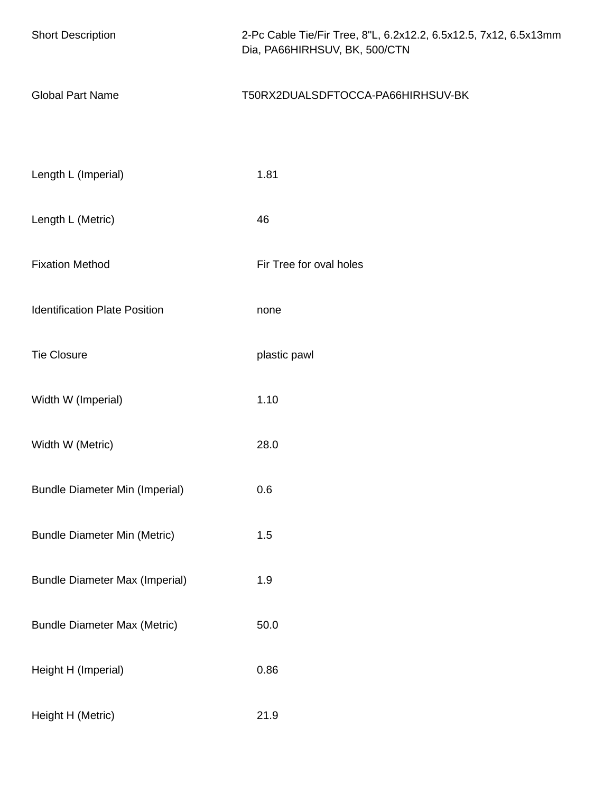| <b>Short Description</b>              | 2-Pc Cable Tie/Fir Tree, 8"L, 6.2x12.2, 6.5x12.5, 7x12, 6.5x13mm<br>Dia, PA66HIRHSUV, BK, 500/CTN |
|---------------------------------------|---------------------------------------------------------------------------------------------------|
| <b>Global Part Name</b>               | T50RX2DUALSDFTOCCA-PA66HIRHSUV-BK                                                                 |
|                                       |                                                                                                   |
| Length L (Imperial)                   | 1.81                                                                                              |
| Length L (Metric)                     | 46                                                                                                |
| <b>Fixation Method</b>                | Fir Tree for oval holes                                                                           |
| <b>Identification Plate Position</b>  | none                                                                                              |
| <b>Tie Closure</b>                    | plastic pawl                                                                                      |
| Width W (Imperial)                    | 1.10                                                                                              |
| Width W (Metric)                      | 28.0                                                                                              |
| <b>Bundle Diameter Min (Imperial)</b> | 0.6                                                                                               |
| <b>Bundle Diameter Min (Metric)</b>   | 1.5                                                                                               |
| <b>Bundle Diameter Max (Imperial)</b> | 1.9                                                                                               |
| <b>Bundle Diameter Max (Metric)</b>   | 50.0                                                                                              |
| Height H (Imperial)                   | 0.86                                                                                              |
| Height H (Metric)                     | 21.9                                                                                              |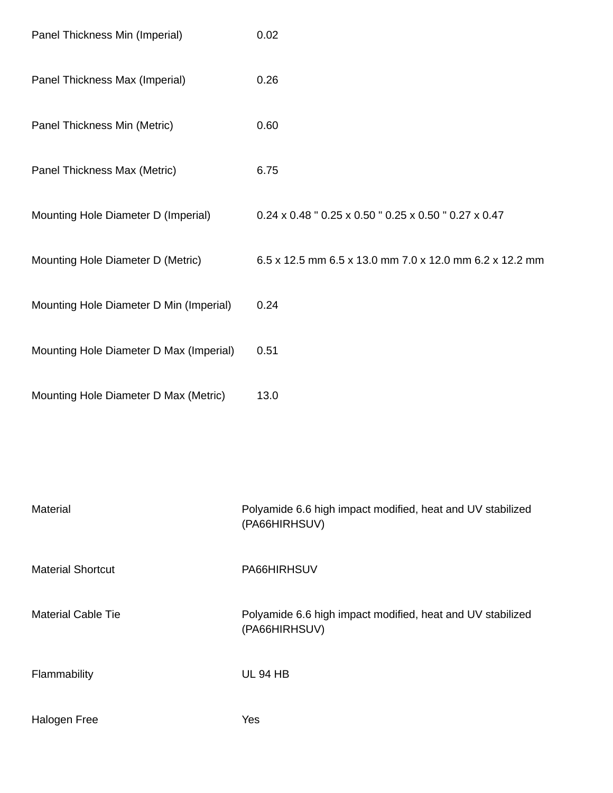| Panel Thickness Min (Imperial)          | 0.02                                                                              |
|-----------------------------------------|-----------------------------------------------------------------------------------|
| Panel Thickness Max (Imperial)          | 0.26                                                                              |
| Panel Thickness Min (Metric)            | 0.60                                                                              |
| Panel Thickness Max (Metric)            | 6.75                                                                              |
| Mounting Hole Diameter D (Imperial)     | $0.24 \times 0.48$ " $0.25 \times 0.50$ " $0.25 \times 0.50$ " $0.27 \times 0.47$ |
| Mounting Hole Diameter D (Metric)       | 6.5 x 12.5 mm 6.5 x 13.0 mm 7.0 x 12.0 mm 6.2 x 12.2 mm                           |
| Mounting Hole Diameter D Min (Imperial) | 0.24                                                                              |
| Mounting Hole Diameter D Max (Imperial) | 0.51                                                                              |
| Mounting Hole Diameter D Max (Metric)   | 13.0                                                                              |
|                                         |                                                                                   |
| <b>Material</b>                         | Polyamide 6.6 high impact modified, heat and UV stabilized<br>(PA66HIRHSUV)       |
| <b>Material Shortcut</b>                | PA66HIRHSUV                                                                       |
| <b>Material Cable Tie</b>               | Polyamide 6.6 high impact modified, heat and UV stabilized<br>(PA66HIRHSUV)       |
| Flammability                            | <b>UL 94 HB</b>                                                                   |
| <b>Halogen Free</b>                     | Yes                                                                               |